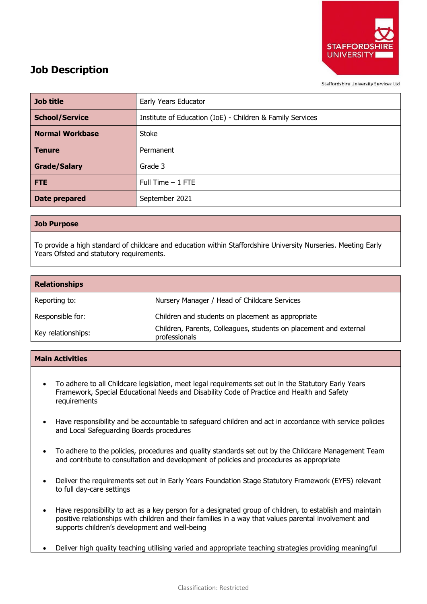

# **Job Description**

**Staffordshire University Services Ltd** 

| <b>Job title</b>       | Early Years Educator                                      |
|------------------------|-----------------------------------------------------------|
| <b>School/Service</b>  | Institute of Education (IoE) - Children & Family Services |
| <b>Normal Workbase</b> | Stoke                                                     |
| <b>Tenure</b>          | Permanent                                                 |
| <b>Grade/Salary</b>    | Grade 3                                                   |
| <b>FTE</b>             | Full Time $-1$ FTE                                        |
| Date prepared          | September 2021                                            |

## **Job Purpose**

To provide a high standard of childcare and education within Staffordshire University Nurseries. Meeting Early Years Ofsted and statutory requirements.

| <b>Relationships</b> |                                                                                    |
|----------------------|------------------------------------------------------------------------------------|
| Reporting to:        | Nursery Manager / Head of Childcare Services                                       |
| Responsible for:     | Children and students on placement as appropriate                                  |
| Key relationships:   | Children, Parents, Colleagues, students on placement and external<br>professionals |

## **Main Activities**

- To adhere to all Childcare legislation, meet legal requirements set out in the Statutory Early Years Framework, Special Educational Needs and Disability Code of Practice and Health and Safety requirements
- Have responsibility and be accountable to safeguard children and act in accordance with service policies and Local Safeguarding Boards procedures
- To adhere to the policies, procedures and quality standards set out by the Childcare Management Team and contribute to consultation and development of policies and procedures as appropriate
- Deliver the requirements set out in Early Years Foundation Stage Statutory Framework (EYFS) relevant to full day-care settings
- Have responsibility to act as a key person for a designated group of children, to establish and maintain positive relationships with children and their families in a way that values parental involvement and supports children's development and well-being
- Deliver high quality teaching utilising varied and appropriate teaching strategies providing meaningful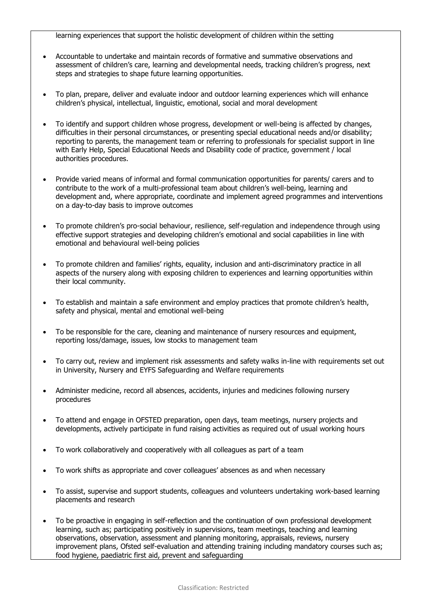learning experiences that support the holistic development of children within the setting

- Accountable to undertake and maintain records of formative and summative observations and assessment of children's care, learning and developmental needs, tracking children's progress, next steps and strategies to shape future learning opportunities.
- To plan, prepare, deliver and evaluate indoor and outdoor learning experiences which will enhance children's physical, intellectual, linguistic, emotional, social and moral development
- To identify and support children whose progress, development or well-being is affected by changes, difficulties in their personal circumstances, or presenting special educational needs and/or disability; reporting to parents, the management team or referring to professionals for specialist support in line with Early Help, Special Educational Needs and Disability code of practice, government / local authorities procedures.
- Provide varied means of informal and formal communication opportunities for parents/ carers and to contribute to the work of a multi-professional team about children's well-being, learning and development and, where appropriate, coordinate and implement agreed programmes and interventions on a day-to-day basis to improve outcomes
- To promote children's pro-social behaviour, resilience, self-regulation and independence through using effective support strategies and developing children's emotional and social capabilities in line with emotional and behavioural well-being policies
- To promote children and families' rights, equality, inclusion and anti-discriminatory practice in all aspects of the nursery along with exposing children to experiences and learning opportunities within their local community.
- To establish and maintain a safe environment and employ practices that promote children's health, safety and physical, mental and emotional well-being
- To be responsible for the care, cleaning and maintenance of nursery resources and equipment, reporting loss/damage, issues, low stocks to management team
- To carry out, review and implement risk assessments and safety walks in-line with requirements set out in University, Nursery and EYFS Safeguarding and Welfare requirements
- Administer medicine, record all absences, accidents, injuries and medicines following nursery procedures
- To attend and engage in OFSTED preparation, open days, team meetings, nursery projects and developments, actively participate in fund raising activities as required out of usual working hours
- To work collaboratively and cooperatively with all colleagues as part of a team
- To work shifts as appropriate and cover colleagues' absences as and when necessary
- To assist, supervise and support students, colleagues and volunteers undertaking work-based learning placements and research
- To be proactive in engaging in self-reflection and the continuation of own professional development learning, such as; participating positively in supervisions, team meetings, teaching and learning observations, observation, assessment and planning monitoring, appraisals, reviews, nursery improvement plans, Ofsted self-evaluation and attending training including mandatory courses such as; food hygiene, paediatric first aid, prevent and safeguarding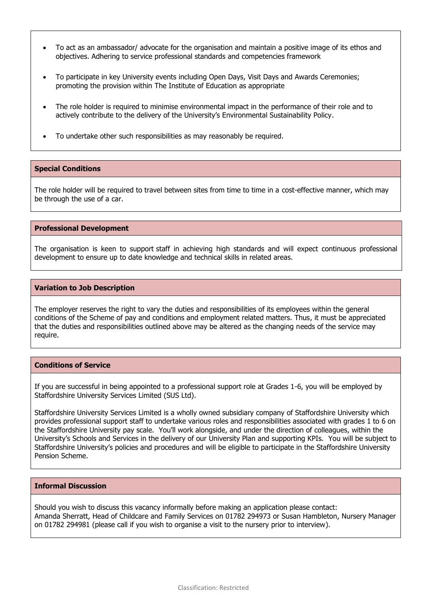- To act as an ambassador/ advocate for the organisation and maintain a positive image of its ethos and objectives. Adhering to service professional standards and competencies framework
- To participate in key University events including Open Days, Visit Days and Awards Ceremonies; promoting the provision within The Institute of Education as appropriate
- The role holder is required to minimise environmental impact in the performance of their role and to actively contribute to the delivery of the University's Environmental Sustainability Policy.
- To undertake other such responsibilities as may reasonably be required.

## **Special Conditions**

The role holder will be required to travel between sites from time to time in a cost-effective manner, which may be through the use of a car.

### **Professional Development**

The organisation is keen to support staff in achieving high standards and will expect continuous professional development to ensure up to date knowledge and technical skills in related areas.

### **Variation to Job Description**

The employer reserves the right to vary the duties and responsibilities of its employees within the general conditions of the Scheme of pay and conditions and employment related matters. Thus, it must be appreciated that the duties and responsibilities outlined above may be altered as the changing needs of the service may require.

## **Conditions of Service**

If you are successful in being appointed to a professional support role at Grades 1-6, you will be employed by Staffordshire University Services Limited (SUS Ltd).

Staffordshire University Services Limited is a wholly owned subsidiary company of Staffordshire University which provides professional support staff to undertake various roles and responsibilities associated with grades 1 to 6 on the Staffordshire University pay scale. You'll work alongside, and under the direction of colleagues, within the University's Schools and Services in the delivery of our University Plan and supporting KPIs. You will be subject to Staffordshire University's policies and procedures and will be eligible to participate in the Staffordshire University Pension Scheme.

## **Informal Discussion**

Should you wish to discuss this vacancy informally before making an application please contact: Amanda Sherratt, Head of Childcare and Family Services on 01782 294973 or Susan Hambleton, Nursery Manager on 01782 294981 (please call if you wish to organise a visit to the nursery prior to interview).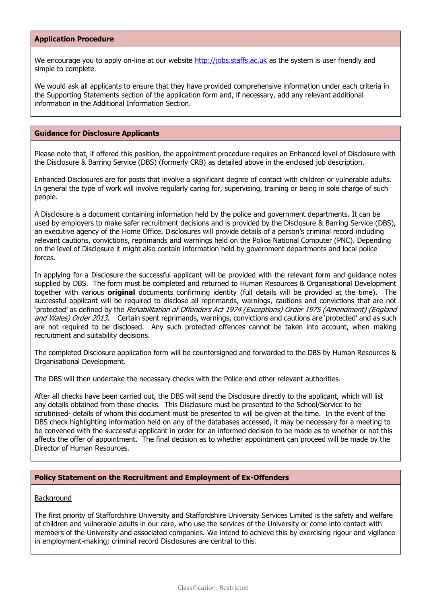## **Application Procedure**

We encourage you to apply on-line at our website [http://jobs.staffs.ac.uk](http://jobs.staffs.ac.uk/) as the system is user friendly and simple to complete.

We would ask all applicants to ensure that they have provided comprehensive information under each criteria in the Supporting Statements section of the application form and, if necessary, add any relevant additional information in the Additional Information Section.

## **Guidance for Disclosure Applicants**

Please note that, if offered this position, the appointment procedure requires an Enhanced level of Disclosure with the Disclosure & Barring Service (DBS) (formerly CRB) as detailed above in the enclosed job description.

Enhanced Disclosures are for posts that involve a significant degree of contact with children or vulnerable adults. In general the type of work will involve regularly caring for, supervising, training or being in sole charge of such people.

A Disclosure is a document containing information held by the police and government departments. It can be used by employers to make safer recruitment decisions and is provided by the Disclosure & Barring Service (DBS), an executive agency of the Home Office. Disclosures will provide details of a person's criminal record including relevant cautions, convictions, reprimands and warnings held on the Police National Computer (PNC). Depending on the level of Disclosure it might also contain information held by government departments and local police forces.

In applying for a Disclosure the successful applicant will be provided with the relevant form and guidance notes supplied by DBS. The form must be completed and returned to Human Resources & Organisational Development together with various **original** documents confirming identity (full details will be provided at the time). The successful applicant will be required to disclose all reprimands, warnings, cautions and convictions that are not 'protected' as defined by the Rehabilitation of Offenders Act 1974 (Exceptions) Order 1975 (Amendment) (England and Wales) Order 2013. Certain spent reprimands, warnings, convictions and cautions are 'protected' and as such are not required to be disclosed. Any such protected offences cannot be taken into account, when making recruitment and suitability decisions.

The completed Disclosure application form will be countersigned and forwarded to the DBS by Human Resources & Organisational Development.

The DBS will then undertake the necessary checks with the Police and other relevant authorities.

After all checks have been carried out, the DBS will send the Disclosure directly to the applicant, which will list any details obtained from those checks. This Disclosure must be presented to the School/Service to be scrutinised- details of whom this document must be presented to will be given at the time. In the event of the DBS check highlighting information held on any of the databases accessed, it may be necessary for a meeting to be convened with the successful applicant in order for an informed decision to be made as to whether or not this affects the offer of appointment. The final decision as to whether appointment can proceed will be made by the Director of Human Resources.

### **Policy Statement on the Recruitment and Employment of Ex-Offenders**

### **Background**

The first priority of Staffordshire University and Staffordshire University Services Limited is the safety and welfare of children and vulnerable adults in our care, who use the services of the University or come into contact with members of the University and associated companies. We intend to achieve this by exercising rigour and vigilance in employment-making; criminal record Disclosures are central to this.